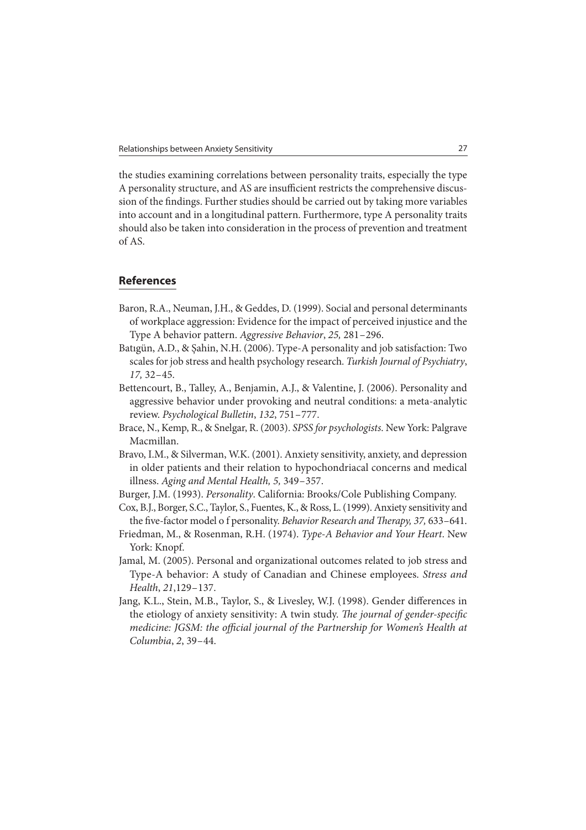the studies examining correlations between personality traits, especially the type A personality structure, and AS are insufficient restricts the comprehensive discussion of the findings. Further studies should be carried out by taking more variables into account and in a longitudinal pattern. Furthermore, type A personality traits should also be taken into consideration in the process of prevention and treatment of AS.

## **References**

- Baron, R.A., Neuman, J.H., & Geddes, D. (1999). Social and personal determinants of workplace aggression: Evidence for the impact of perceived injustice and the Type A behavior pattern. Aggressive Behavior, 25, 281 – 296.
- Batıgün, A.D., & Şahin, N.H. (2006). Type-A personality and job satisfaction: Two scales for job stress and health psychology research. Turkish Journal of Psychiatry,  $17, 32 - 45.$
- Bettencourt, B., Talley, A., Benjamin, A.J., & Valentine, J. (2006). Personality and aggressive behavior under provoking and neutral conditions: a meta-analytic review. Psychological Bulletin, 132, 751 – 777.
- Brace, N., Kemp, R., & Snelgar, R. (2003). SPSS for psychologists. New York: Palgrave Macmillan.
- Bravo, I.M., & Silverman, W.K. (2001). Anxiety sensitivity, anxiety, and depression in older patients and their relation to hypochondriacal concerns and medical illness. Aging and Mental Health, 5, 349 – 357.
- Burger, J.M. (1993). Personality. California: Brooks/Cole Publishing Company.
- Cox, B.J., Borger, S.C., Taylor, S., Fuentes, K., & Ross, L. (1999). Anxiety sensitivity and the five-factor model o f personality. Behavior Research and Therapy, 37, 633-641.
- Friedman, M., & Rosenman, R.H. (1974). Type-A Behavior and Your Heart. New York: Knopf.
- Jamal, M. (2005). Personal and organizational outcomes related to job stress and Type-A behavior: A study of Canadian and Chinese employees. Stress and Health, 21,129-137.
- Jang, K.L., Stein, M.B., Taylor, S., & Livesley, W.J. (1998). Gender differences in the etiology of anxiety sensitivity: A twin study. The journal of gender-specific medicine: JGSM: the official journal of the Partnership for Women's Health at Columbia, 2, 39 – 44.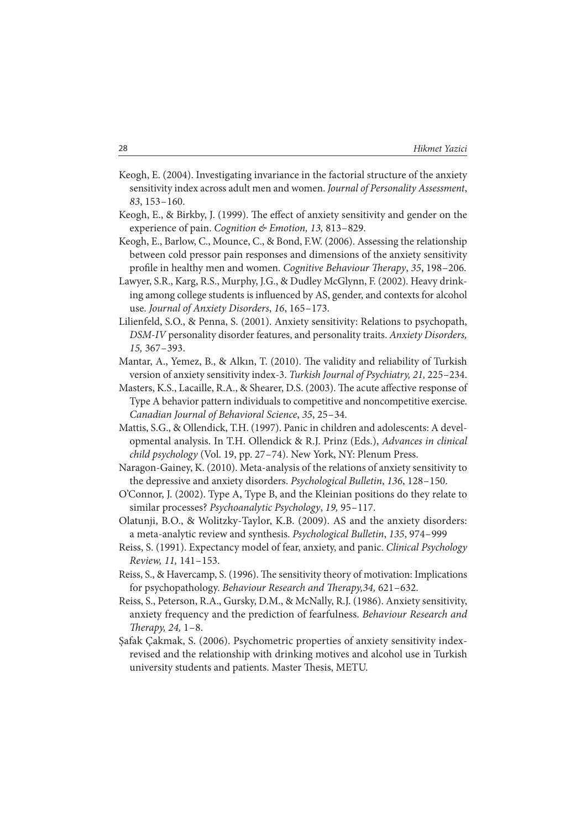- Keogh, E. (2004). Investigating invariance in the factorial structure of the anxiety sensitivity index across adult men and women. Journal of Personality Assessment, 83, 153 – 160.
- Keogh, E., & Birkby, J. (1999). The effect of anxiety sensitivity and gender on the experience of pain. Cognition & Emotion, 13, 813-829.
- Keogh, E., Barlow, C., Mounce, C., & Bond, F.W. (2006). Assessing the relationship between cold pressor pain responses and dimensions of the anxiety sensitivity profile in healthy men and women. Cognitive Behaviour Therapy, 35, 198-206.
- Lawyer, S.R., Karg, R.S., Murphy, J.G., & Dudley McGlynn, F. (2002). Heavy drinking among college students is influenced by AS, gender, and contexts for alcohol use. Journal of Anxiety Disorders, 16, 165 – 173.
- Lilienfeld, S.O., & Penna, S. (2001). Anxiety sensitivity: Relations to psychopath, DSM-IV personality disorder features, and personality traits. Anxiety Disorders, 15, 367 – 393.
- Mantar, A., Yemez, B., & Alkın, T. (2010). The validity and reliability of Turkish version of anxiety sensitivity index-3. Turkish Journal of Psychiatry, 21, 225 – 234.
- Masters, K.S., Lacaille, R.A., & Shearer, D.S. (2003). The acute affective response of Type A behavior pattern individuals to competitive and noncompetitive exercise. Canadian Journal of Behavioral Science, 35, 25 – 34.
- Mattis, S.G., & Ollendick, T.H. (1997). Panic in children and adolescents: A developmental analysis. In T.H. Ollendick & R.J. Prinz (Eds.), Advances in clinical child psychology (Vol. 19, pp. 27-74). New York, NY: Plenum Press.
- Naragon-Gainey, K. (2010). Meta-analysis of the relations of anxiety sensitivity to the depressive and anxiety disorders. Psychological Bulletin, 136, 128-150.
- O'Connor, J. (2002). Type A, Type B, and the Kleinian positions do they relate to similar processes? Psychoanalytic Psychology, 19, 95-117.
- Olatunji, B.O., & Wolitzky-Taylor, K.B. (2009). AS and the anxiety disorders: a meta-analytic review and synthesis. Psychological Bulletin, 135, 974 – 999
- Reiss, S. (1991). Expectancy model of fear, anxiety, and panic. Clinical Psychology Review, 11, 141 – 153.
- Reiss, S., & Havercamp, S. (1996). The sensitivity theory of motivation: Implications for psychopathology. Behaviour Research and Therapy, 34, 621-632.
- Reiss, S., Peterson, R.A., Gursky, D.M., & McNally, R.J. (1986). Anxiety sensitivity, anxiety frequency and the prediction of fearfulness. Behaviour Research and Therapy, 24,  $1-8$ .
- Şafak Çakmak, S. (2006). Psychometric properties of anxiety sensitivity indexrevised and the relationship with drinking motives and alcohol use in Turkish university students and patients. Master Thesis, METU.